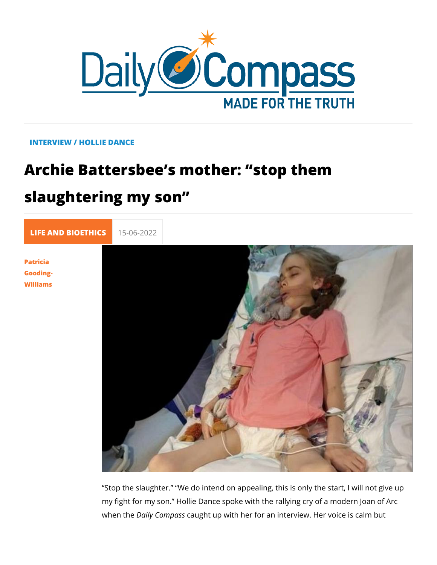## INTERVIEW / HOLLIE DANCE

## Archie Battersbee s mother: stop them slaughtering my son

[LIFE AND BIOE](https://newdailycompass.com/en/life-and-bioethics) 15-06-2022

[Patric](/en/patricia-gooding-williams-1)ia [Goodin](/en/patricia-gooding-williams-1)g- [William](/en/patricia-gooding-williams-1)s

> Stop the slaughter. We do intend on appealing, this is only my fight for my son. Hollie Dance spoke with the rallying cry when the ily Compassht up with her for an interview. Her voice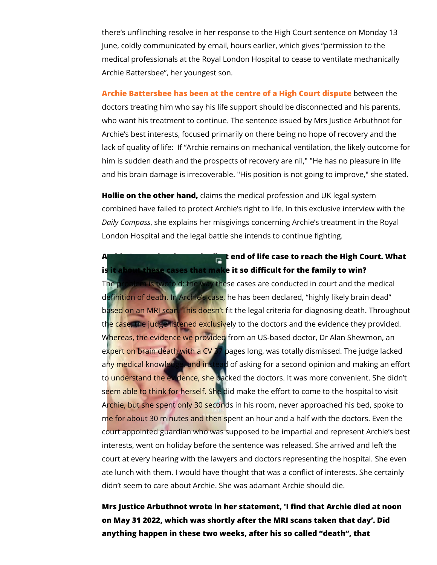there s unflinching resolve in her response to the High Court s June, coldly communicated by email, hours earlier, which give medical professionals at the Royal London Hospital to cease to Archie Battersbee , her youngest son.

[Archie Battersbee has been at the centre of a](https://newdailycompass.com/en/archie-another-victim-of-best-interests)  $H$ between the spi doctors treating him who say his life support should be discon who want his treatment to continue. The sentence issued by M Archie s best interests, focused primarily on there being no ho lack of quality of life: If Archie remains on mechanical ventil him is sudden death and the prospects of recovery are nil," "H and his brain damage is irrecoverable. "His position is not goi

Hollie on the other chaimds the medical profession and UK legal combined have failed to protect Archie s right to life. In this  $\epsilon$ Daily Compsahses explains her misgivings concerning Archie s tre London Hospital and the legal battle she intends to continue f

Archie Battersbee is not the first end of life case to reach the is it about these cases that make it so difficult for the family The problem is twofold: the way these cases are conducted in definition of death. In Archie s case, he has been declared, h based on an MRI scan. This doesn t fit the legal criteria for di the case, the judge listened exclusively to the doctors and the Whereas, the evidence we provided from an US-based doctor, expert on brain death with a CV 37 pages long, was totally dis any medical knowledge, and instead of asking for a second opi to understand the evidence, she backed the doctors. It was mo seem able to think for herself. She did make the effort to come Archie, but she spent only 30 seconds in his room, never appr me for about 30 minutes and then spent an hour and a half wit court appointed guardian who was supposed to be impartial an interests, went on holiday before the sentence was released. She court at every hearing with the lawyers and doctors representi ate lunch with them. I would have thought that was a conflict of didn t seem to care about Archie. She was adamant Archie sho

Mrs Justice Arbuthnot wrote in her statement, 'I find that Arch on May 31 2022, which was shortly after the MRI scans taken t anything happen in these two weeks, after his so called death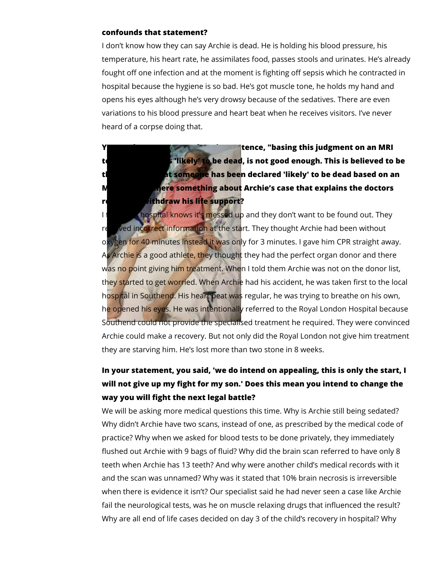## **confounds that statement?**

I don't know how they can say Archie is dead. He is holding his blood pressure, his temperature, his heart rate, he assimilates food, passes stools and urinates. He's already fought off one infection and at the moment is fighting off sepsis which he contracted in hospital because the hygiene is so bad. He's got muscle tone, he holds my hand and opens his eyes although he's very drowsy because of the sedatives. There are even variations to his blood pressure and heart beat when he receives visitors. I've never heard of a corpse doing that.

**The State state is state state in State State i** senter **a** state **i** senter **an** MRI test and that is 'likely' to be dead, is not good enough. This is believed to be **the first time that someone has been declared 'likely' to be dead based on an MI <b>E Is the something about** Archie's case that explains the doctors **resolve to withdraw his life support?** 

I think is hospital knows it's messed up and they don't want to be found out. They received incorrect information at the start. They thought Archie had been without oxygen for 40 minutes instead it was only for 3 minutes. I gave him CPR straight away. As Archie is a good athlete, they thought they had the perfect organ donor and there was no point giving him treatment. When I told them Archie was not on the donor list, they started to get worried. When Archie had his accident, he was taken first to the local hospital in Southend. His heart beat was regular, he was trying to breathe on his own, he opened his eyes. He was intentionally referred to the Royal London Hospital because Southend could not provide the specialised treatment he required. They were convinced Archie could make a recovery. But not only did the Royal London not give him treatment they are starving him. He's lost more than two stone in 8 weeks.

## **In your statement, you said, 'we do intend on appealing, this is only the start, I will not give up my fight for my son.' Does this mean you intend to change the way you will fight the next legal battle?**

We will be asking more medical questions this time. Why is Archie still being sedated? Why didn't Archie have two scans, instead of one, as prescribed by the medical code of practice? Why when we asked for blood tests to be done privately, they immediately flushed out Archie with 9 bags of fluid? Why did the brain scan referred to have only 8 teeth when Archie has 13 teeth? And why were another child's medical records with it and the scan was unnamed? Why was it stated that 10% brain necrosis is irreversible when there is evidence it isn't? Our specialist said he had never seen a case like Archie fail the neurological tests, was he on muscle relaxing drugs that influenced the result? Why are all end of life cases decided on day 3 of the child's recovery in hospital? Why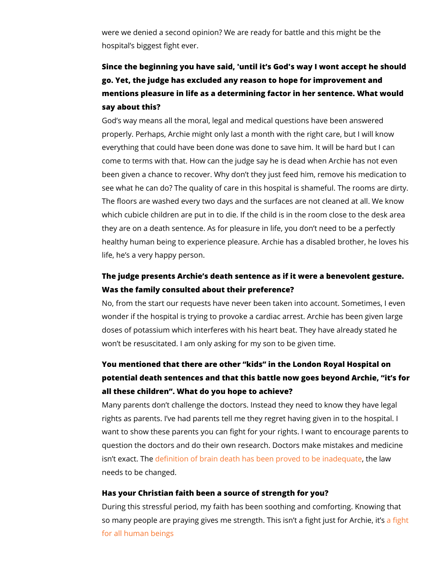were we denied a second opinion? We are ready for battle and hospital s biggest fight ever.

Since the beginning you have  $s$  and  $\delta$  dus twil it I wont accept he should go. Yet, the judge has excluded any reason to hope for improv mentions pleasure in life as a determining factor in her senter say about this?

God s way means all the moral, legal and medical questions ha properly. Perhaps, Archie might only last a month with the rigl everything that could have been done was done to save him. It come to terms with that. How can the judge say he is dead when been given a chance to recovelery With syt dened him, remove his me see what he can do? The quality of care in this hospital is sha The floors are washed every two days and the surfaces are no which cubicle children are put in to die. If the child is in the r they are on a death sentence. As for pleasure in life, you don healthy human being to experience pleasure. Archie has a disa life, he s a very happy person.

The judge presents Archie s death sentence as if it were a ber Was the family consulted about their preference? No, from the start our requests have never been taken into ace wonder if the hospital is trying to provoke a cardiac arrest. Ar doses of potassium which interferes with his heart beat. They

won t be resuscitated. I am only asking for my son to be given

You mentioned that there are other kids in the London Royal potential death sentences and that this battle now goes beyon all these children . What do you hope to achieve? Many parents don t challenge the doctors. Instead they need t rights as parents. I ve had parents tell me they regret having want to show these parents you can fight for your rights. I want question the doctors and do their own research. Doctors make isn t exactle Timetion of brain death has been proveth to law inad needs to be changed.

Has your Christian faith been a source of strength for you? During this stressful period, my faith has been soothing and comso many people are praying gives me strength. This is a fitgatfig [for all human](https://newdailycompass.com/en/archie-battersbee-conversion-also-changes-the-fight-for-life) beings